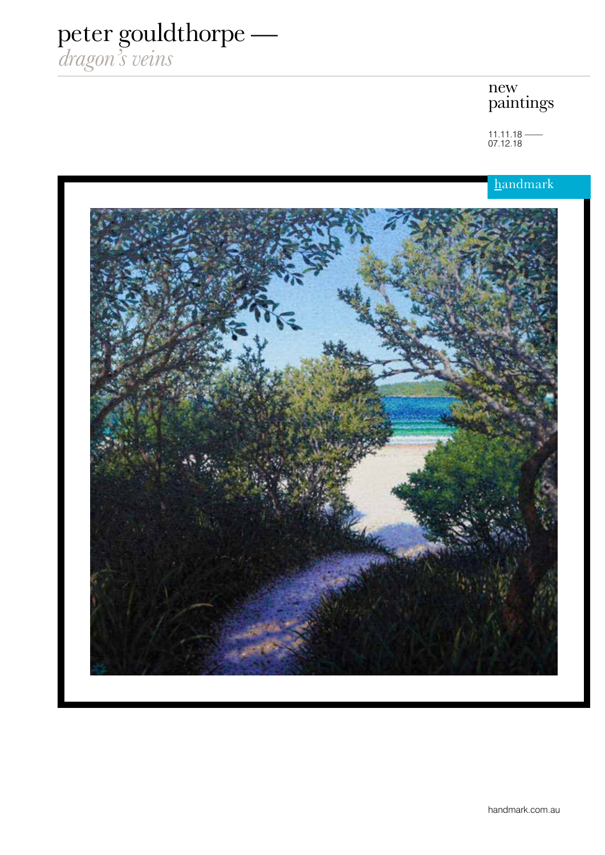## peter gouldthorpe —

*dragon's veins*

## new paintings

 $11.11.18$  — 07.12.18

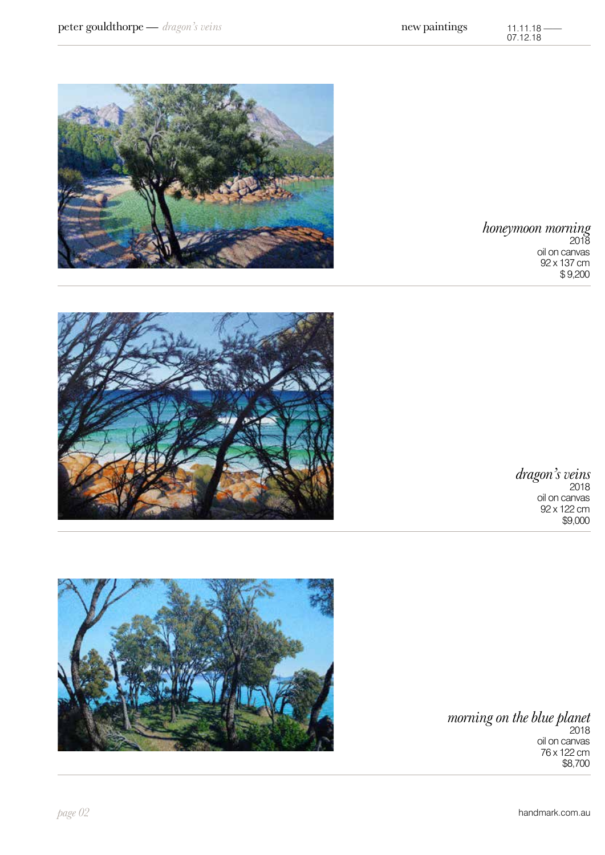oil on canvas 76 x 122 cm \$8,700









*honeymoon morning* 2018 oil on canvas 92 x 137 cm \$ 9,200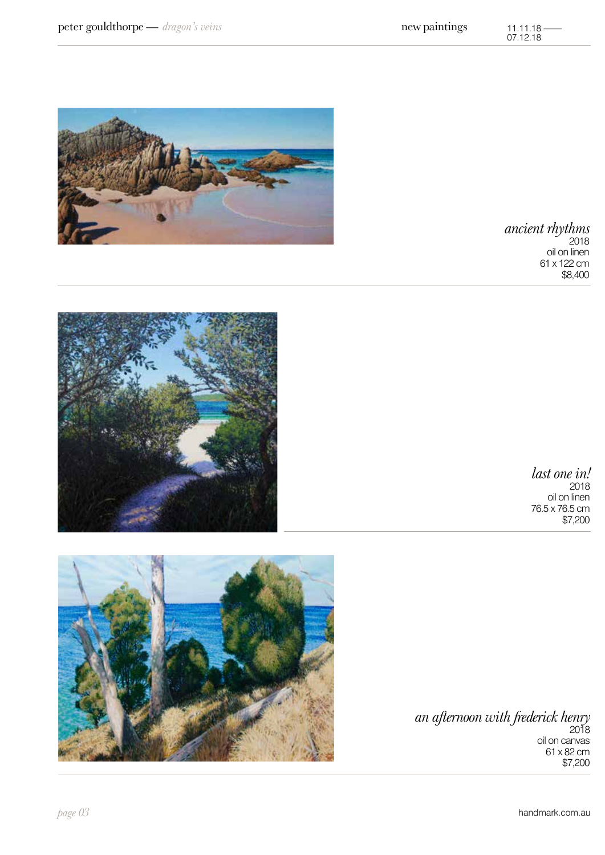*an afternoon with frederick henry*  2018 oil on canvas 61 x 82 cm \$7,200









*last one in!*

*ancient rhythms* 2018 oil on linen 61 x 122 cm \$8,400

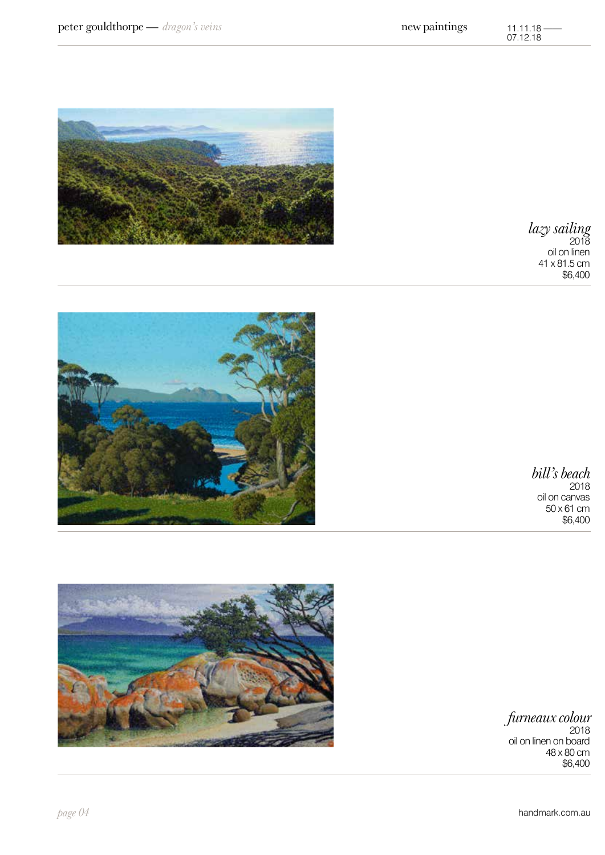

*furneaux colour*



*bill's beach* 2018 oil on canvas 50 x 61 cm \$6,400

*lazy sailing* 2018 oil on linen 41 x 81.5 cm \$6,400

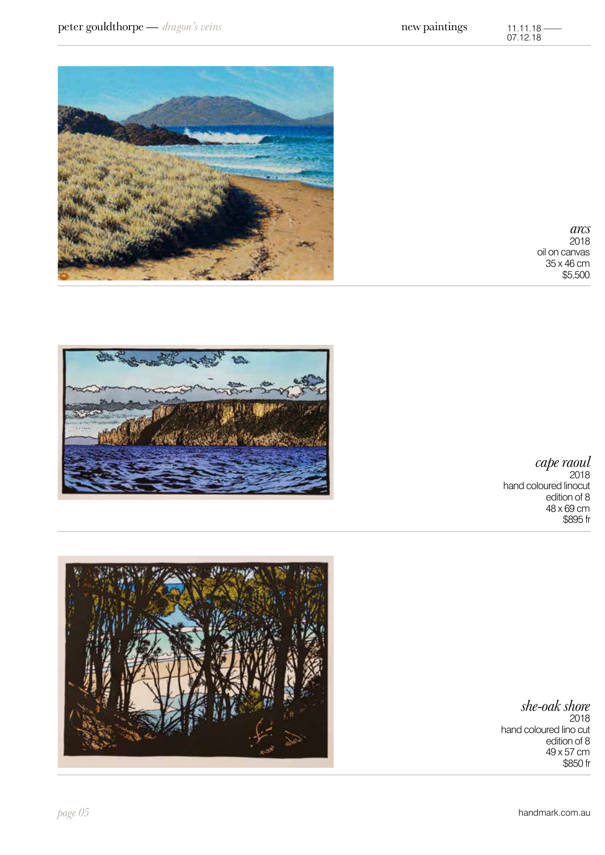*she-oak shore* 2018 edition of 8 49 x 57 cm \$850 fr

hand coloured lino cut







*cape raoul*

edition of 8 48 x 69 cm \$895 fr

hand coloured linocut

2018